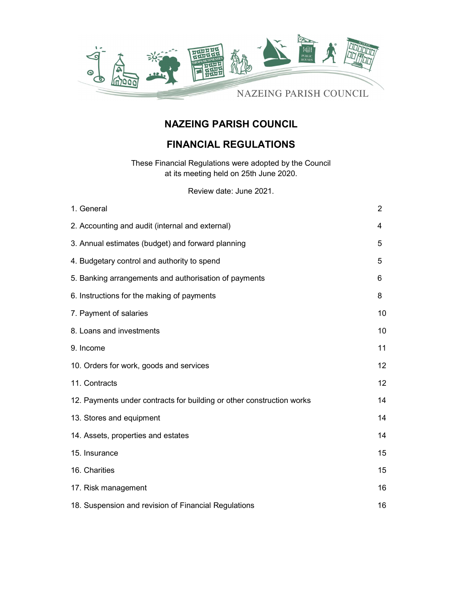

# NAZEING PARISH COUNCIL

# FINANCIAL REGULATIONS

These Financial Regulations were adopted by the Council at its meeting held on 25th June 2020.

Review date: June 2021.

| 1. General                                                            | $\overline{2}$ |
|-----------------------------------------------------------------------|----------------|
| 2. Accounting and audit (internal and external)                       | 4              |
| 3. Annual estimates (budget) and forward planning                     | 5              |
| 4. Budgetary control and authority to spend                           | 5              |
| 5. Banking arrangements and authorisation of payments                 | 6              |
| 6. Instructions for the making of payments                            | 8              |
| 7. Payment of salaries                                                | 10             |
| 8. Loans and investments                                              | 10             |
| 9. Income                                                             | 11             |
| 10. Orders for work, goods and services                               | 12             |
| 11. Contracts                                                         | 12             |
| 12. Payments under contracts for building or other construction works | 14             |
| 13. Stores and equipment                                              | 14             |
| 14. Assets, properties and estates                                    | 14             |
| 15. Insurance                                                         | 15             |
| 16. Charities                                                         | 15             |
| 17. Risk management                                                   | 16             |
| 18. Suspension and revision of Financial Regulations                  | 16             |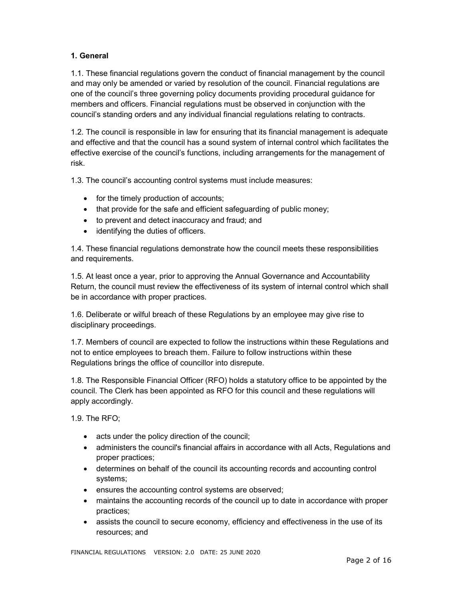# 1. General

1.1. These financial regulations govern the conduct of financial management by the council and may only be amended or varied by resolution of the council. Financial regulations are one of the council's three governing policy documents providing procedural guidance for members and officers. Financial regulations must be observed in conjunction with the council's standing orders and any individual financial regulations relating to contracts.

1.2. The council is responsible in law for ensuring that its financial management is adequate and effective and that the council has a sound system of internal control which facilitates the effective exercise of the council's functions, including arrangements for the management of risk.

1.3. The council's accounting control systems must include measures:

- for the timely production of accounts;
- that provide for the safe and efficient safeguarding of public money;
- to prevent and detect inaccuracy and fraud; and
- identifying the duties of officers.

1.4. These financial regulations demonstrate how the council meets these responsibilities and requirements.

1.5. At least once a year, prior to approving the Annual Governance and Accountability Return, the council must review the effectiveness of its system of internal control which shall be in accordance with proper practices.

1.6. Deliberate or wilful breach of these Regulations by an employee may give rise to disciplinary proceedings.

1.7. Members of council are expected to follow the instructions within these Regulations and not to entice employees to breach them. Failure to follow instructions within these Regulations brings the office of councillor into disrepute.

1.8. The Responsible Financial Officer (RFO) holds a statutory office to be appointed by the council. The Clerk has been appointed as RFO for this council and these regulations will apply accordingly.

1.9. The RFO;

- acts under the policy direction of the council;
- administers the council's financial affairs in accordance with all Acts, Regulations and proper practices;
- determines on behalf of the council its accounting records and accounting control systems;
- ensures the accounting control systems are observed;
- maintains the accounting records of the council up to date in accordance with proper practices;
- assists the council to secure economy, efficiency and effectiveness in the use of its resources; and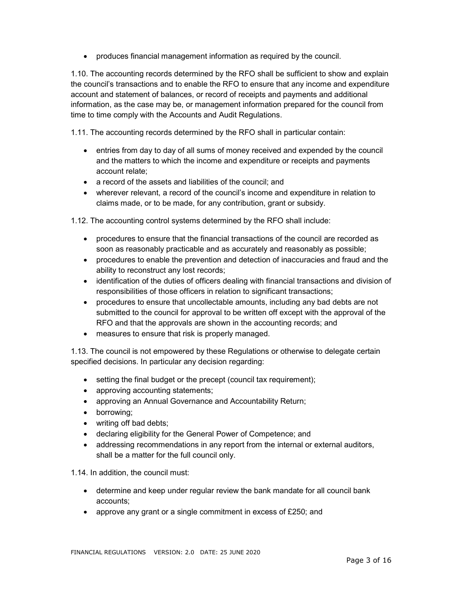produces financial management information as required by the council.

1.10. The accounting records determined by the RFO shall be sufficient to show and explain the council's transactions and to enable the RFO to ensure that any income and expenditure account and statement of balances, or record of receipts and payments and additional information, as the case may be, or management information prepared for the council from time to time comply with the Accounts and Audit Regulations.

1.11. The accounting records determined by the RFO shall in particular contain:

- entries from day to day of all sums of money received and expended by the council and the matters to which the income and expenditure or receipts and payments account relate;
- a record of the assets and liabilities of the council; and
- wherever relevant, a record of the council's income and expenditure in relation to claims made, or to be made, for any contribution, grant or subsidy.

1.12. The accounting control systems determined by the RFO shall include:

- procedures to ensure that the financial transactions of the council are recorded as soon as reasonably practicable and as accurately and reasonably as possible;
- procedures to enable the prevention and detection of inaccuracies and fraud and the ability to reconstruct any lost records;
- identification of the duties of officers dealing with financial transactions and division of responsibilities of those officers in relation to significant transactions;
- procedures to ensure that uncollectable amounts, including any bad debts are not submitted to the council for approval to be written off except with the approval of the RFO and that the approvals are shown in the accounting records; and
- measures to ensure that risk is properly managed.

1.13. The council is not empowered by these Regulations or otherwise to delegate certain specified decisions. In particular any decision regarding:

- setting the final budget or the precept (council tax requirement);
- approving accounting statements;
- approving an Annual Governance and Accountability Return;
- borrowing;
- writing off bad debts;
- declaring eligibility for the General Power of Competence; and
- addressing recommendations in any report from the internal or external auditors, shall be a matter for the full council only.

1.14. In addition, the council must:

- determine and keep under regular review the bank mandate for all council bank accounts;
- approve any grant or a single commitment in excess of £250; and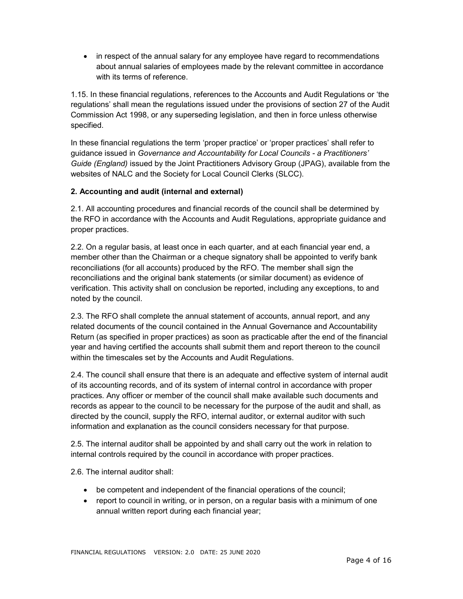• in respect of the annual salary for any employee have regard to recommendations about annual salaries of employees made by the relevant committee in accordance with its terms of reference.

1.15. In these financial regulations, references to the Accounts and Audit Regulations or 'the regulations' shall mean the regulations issued under the provisions of section 27 of the Audit Commission Act 1998, or any superseding legislation, and then in force unless otherwise specified.

In these financial regulations the term 'proper practice' or 'proper practices' shall refer to guidance issued in Governance and Accountability for Local Councils - a Practitioners' Guide (England) issued by the Joint Practitioners Advisory Group (JPAG), available from the websites of NALC and the Society for Local Council Clerks (SLCC).

## 2. Accounting and audit (internal and external)

2.1. All accounting procedures and financial records of the council shall be determined by the RFO in accordance with the Accounts and Audit Regulations, appropriate guidance and proper practices.

2.2. On a regular basis, at least once in each quarter, and at each financial year end, a member other than the Chairman or a cheque signatory shall be appointed to verify bank reconciliations (for all accounts) produced by the RFO. The member shall sign the reconciliations and the original bank statements (or similar document) as evidence of verification. This activity shall on conclusion be reported, including any exceptions, to and noted by the council.

2.3. The RFO shall complete the annual statement of accounts, annual report, and any related documents of the council contained in the Annual Governance and Accountability Return (as specified in proper practices) as soon as practicable after the end of the financial year and having certified the accounts shall submit them and report thereon to the council within the timescales set by the Accounts and Audit Regulations.

2.4. The council shall ensure that there is an adequate and effective system of internal audit of its accounting records, and of its system of internal control in accordance with proper practices. Any officer or member of the council shall make available such documents and records as appear to the council to be necessary for the purpose of the audit and shall, as directed by the council, supply the RFO, internal auditor, or external auditor with such information and explanation as the council considers necessary for that purpose.

2.5. The internal auditor shall be appointed by and shall carry out the work in relation to internal controls required by the council in accordance with proper practices.

2.6. The internal auditor shall:

- be competent and independent of the financial operations of the council;
- report to council in writing, or in person, on a regular basis with a minimum of one annual written report during each financial year;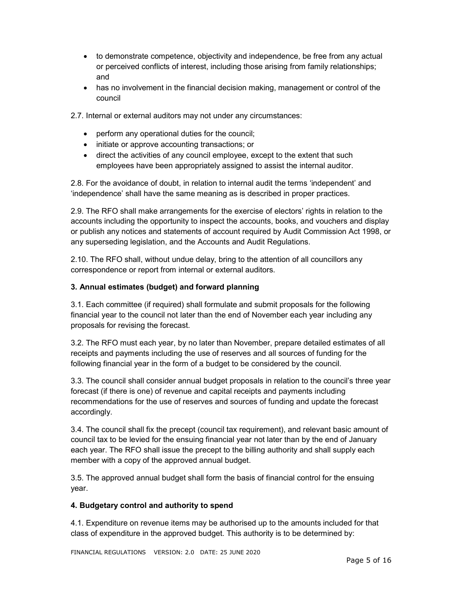- to demonstrate competence, objectivity and independence, be free from any actual or perceived conflicts of interest, including those arising from family relationships; and
- has no involvement in the financial decision making, management or control of the council
- 2.7. Internal or external auditors may not under any circumstances:
	- perform any operational duties for the council;
	- initiate or approve accounting transactions; or
	- direct the activities of any council employee, except to the extent that such employees have been appropriately assigned to assist the internal auditor.

2.8. For the avoidance of doubt, in relation to internal audit the terms 'independent' and 'independence' shall have the same meaning as is described in proper practices.

2.9. The RFO shall make arrangements for the exercise of electors' rights in relation to the accounts including the opportunity to inspect the accounts, books, and vouchers and display or publish any notices and statements of account required by Audit Commission Act 1998, or any superseding legislation, and the Accounts and Audit Regulations.

2.10. The RFO shall, without undue delay, bring to the attention of all councillors any correspondence or report from internal or external auditors.

## 3. Annual estimates (budget) and forward planning

3.1. Each committee (if required) shall formulate and submit proposals for the following financial year to the council not later than the end of November each year including any proposals for revising the forecast.

3.2. The RFO must each year, by no later than November, prepare detailed estimates of all receipts and payments including the use of reserves and all sources of funding for the following financial year in the form of a budget to be considered by the council.

3.3. The council shall consider annual budget proposals in relation to the council's three year forecast (if there is one) of revenue and capital receipts and payments including recommendations for the use of reserves and sources of funding and update the forecast accordingly.

3.4. The council shall fix the precept (council tax requirement), and relevant basic amount of council tax to be levied for the ensuing financial year not later than by the end of January each year. The RFO shall issue the precept to the billing authority and shall supply each member with a copy of the approved annual budget.

3.5. The approved annual budget shall form the basis of financial control for the ensuing year.

#### 4. Budgetary control and authority to spend

4.1. Expenditure on revenue items may be authorised up to the amounts included for that class of expenditure in the approved budget. This authority is to be determined by:

FINANCIAL REGULATIONS VERSION: 2.0 DATE: 25 JUNE 2020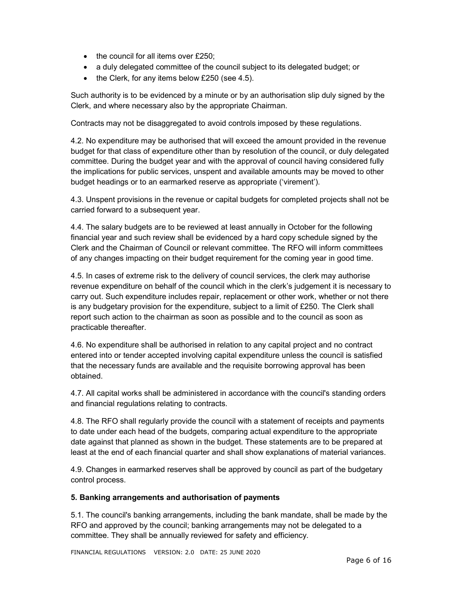- $\bullet$  the council for all items over £250;
- a duly delegated committee of the council subject to its delegated budget; or
- $\bullet$  the Clerk, for any items below £250 (see 4.5).

Such authority is to be evidenced by a minute or by an authorisation slip duly signed by the Clerk, and where necessary also by the appropriate Chairman.

Contracts may not be disaggregated to avoid controls imposed by these regulations.

4.2. No expenditure may be authorised that will exceed the amount provided in the revenue budget for that class of expenditure other than by resolution of the council, or duly delegated committee. During the budget year and with the approval of council having considered fully the implications for public services, unspent and available amounts may be moved to other budget headings or to an earmarked reserve as appropriate ('virement').

4.3. Unspent provisions in the revenue or capital budgets for completed projects shall not be carried forward to a subsequent year.

4.4. The salary budgets are to be reviewed at least annually in October for the following financial year and such review shall be evidenced by a hard copy schedule signed by the Clerk and the Chairman of Council or relevant committee. The RFO will inform committees of any changes impacting on their budget requirement for the coming year in good time.

4.5. In cases of extreme risk to the delivery of council services, the clerk may authorise revenue expenditure on behalf of the council which in the clerk's judgement it is necessary to carry out. Such expenditure includes repair, replacement or other work, whether or not there is any budgetary provision for the expenditure, subject to a limit of £250. The Clerk shall report such action to the chairman as soon as possible and to the council as soon as practicable thereafter.

4.6. No expenditure shall be authorised in relation to any capital project and no contract entered into or tender accepted involving capital expenditure unless the council is satisfied that the necessary funds are available and the requisite borrowing approval has been obtained.

4.7. All capital works shall be administered in accordance with the council's standing orders and financial regulations relating to contracts.

4.8. The RFO shall regularly provide the council with a statement of receipts and payments to date under each head of the budgets, comparing actual expenditure to the appropriate date against that planned as shown in the budget. These statements are to be prepared at least at the end of each financial quarter and shall show explanations of material variances.

4.9. Changes in earmarked reserves shall be approved by council as part of the budgetary control process.

#### 5. Banking arrangements and authorisation of payments

5.1. The council's banking arrangements, including the bank mandate, shall be made by the RFO and approved by the council; banking arrangements may not be delegated to a committee. They shall be annually reviewed for safety and efficiency.

FINANCIAL REGULATIONS VERSION: 2.0 DATE: 25 JUNE 2020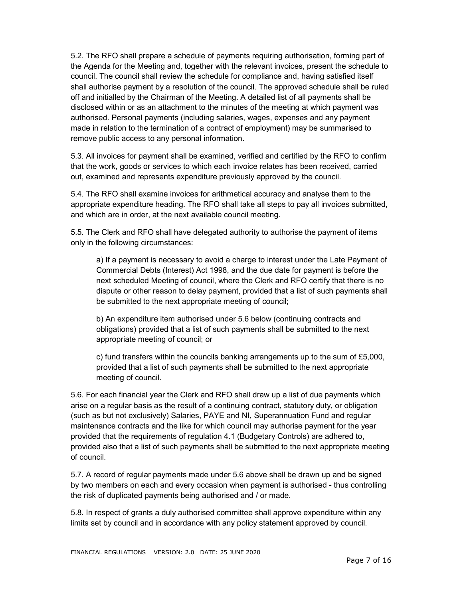5.2. The RFO shall prepare a schedule of payments requiring authorisation, forming part of the Agenda for the Meeting and, together with the relevant invoices, present the schedule to council. The council shall review the schedule for compliance and, having satisfied itself shall authorise payment by a resolution of the council. The approved schedule shall be ruled off and initialled by the Chairman of the Meeting. A detailed list of all payments shall be disclosed within or as an attachment to the minutes of the meeting at which payment was authorised. Personal payments (including salaries, wages, expenses and any payment made in relation to the termination of a contract of employment) may be summarised to remove public access to any personal information.

5.3. All invoices for payment shall be examined, verified and certified by the RFO to confirm that the work, goods or services to which each invoice relates has been received, carried out, examined and represents expenditure previously approved by the council.

5.4. The RFO shall examine invoices for arithmetical accuracy and analyse them to the appropriate expenditure heading. The RFO shall take all steps to pay all invoices submitted, and which are in order, at the next available council meeting.

5.5. The Clerk and RFO shall have delegated authority to authorise the payment of items only in the following circumstances:

a) If a payment is necessary to avoid a charge to interest under the Late Payment of Commercial Debts (Interest) Act 1998, and the due date for payment is before the next scheduled Meeting of council, where the Clerk and RFO certify that there is no dispute or other reason to delay payment, provided that a list of such payments shall be submitted to the next appropriate meeting of council;

b) An expenditure item authorised under 5.6 below (continuing contracts and obligations) provided that a list of such payments shall be submitted to the next appropriate meeting of council; or

c) fund transfers within the councils banking arrangements up to the sum of £5,000, provided that a list of such payments shall be submitted to the next appropriate meeting of council.

5.6. For each financial year the Clerk and RFO shall draw up a list of due payments which arise on a regular basis as the result of a continuing contract, statutory duty, or obligation (such as but not exclusively) Salaries, PAYE and NI, Superannuation Fund and regular maintenance contracts and the like for which council may authorise payment for the year provided that the requirements of regulation 4.1 (Budgetary Controls) are adhered to, provided also that a list of such payments shall be submitted to the next appropriate meeting of council.

5.7. A record of regular payments made under 5.6 above shall be drawn up and be signed by two members on each and every occasion when payment is authorised - thus controlling the risk of duplicated payments being authorised and / or made.

5.8. In respect of grants a duly authorised committee shall approve expenditure within any limits set by council and in accordance with any policy statement approved by council.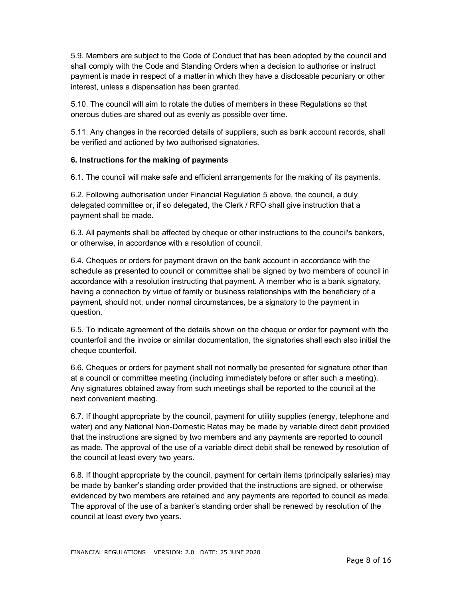5.9. Members are subject to the Code of Conduct that has been adopted by the council and shall comply with the Code and Standing Orders when a decision to authorise or instruct payment is made in respect of a matter in which they have a disclosable pecuniary or other interest, unless a dispensation has been granted.

5.10. The council will aim to rotate the duties of members in these Regulations so that onerous duties are shared out as evenly as possible over time.

5.11. Any changes in the recorded details of suppliers, such as bank account records, shall be verified and actioned by two authorised signatories.

#### 6. Instructions for the making of payments

6.1. The council will make safe and efficient arrangements for the making of its payments.

6.2. Following authorisation under Financial Regulation 5 above, the council, a duly delegated committee or, if so delegated, the Clerk / RFO shall give instruction that a payment shall be made.

6.3. All payments shall be affected by cheque or other instructions to the council's bankers, or otherwise, in accordance with a resolution of council.

6.4. Cheques or orders for payment drawn on the bank account in accordance with the schedule as presented to council or committee shall be signed by two members of council in accordance with a resolution instructing that payment. A member who is a bank signatory, having a connection by virtue of family or business relationships with the beneficiary of a payment, should not, under normal circumstances, be a signatory to the payment in question.

6.5. To indicate agreement of the details shown on the cheque or order for payment with the counterfoil and the invoice or similar documentation, the signatories shall each also initial the cheque counterfoil.

6.6. Cheques or orders for payment shall not normally be presented for signature other than at a council or committee meeting (including immediately before or after such a meeting). Any signatures obtained away from such meetings shall be reported to the council at the next convenient meeting.

6.7. If thought appropriate by the council, payment for utility supplies (energy, telephone and water) and any National Non-Domestic Rates may be made by variable direct debit provided that the instructions are signed by two members and any payments are reported to council as made. The approval of the use of a variable direct debit shall be renewed by resolution of the council at least every two years.

6.8. If thought appropriate by the council, payment for certain items (principally salaries) may be made by banker's standing order provided that the instructions are signed, or otherwise evidenced by two members are retained and any payments are reported to council as made. The approval of the use of a banker's standing order shall be renewed by resolution of the council at least every two years.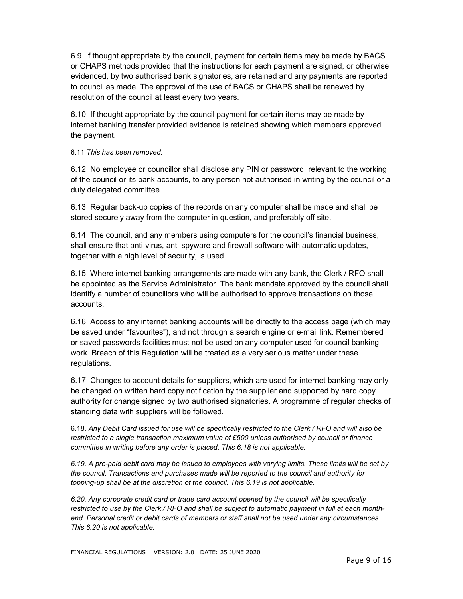6.9. If thought appropriate by the council, payment for certain items may be made by BACS or CHAPS methods provided that the instructions for each payment are signed, or otherwise evidenced, by two authorised bank signatories, are retained and any payments are reported to council as made. The approval of the use of BACS or CHAPS shall be renewed by resolution of the council at least every two years.

6.10. If thought appropriate by the council payment for certain items may be made by internet banking transfer provided evidence is retained showing which members approved the payment.

#### 6.11 This has been removed.

6.12. No employee or councillor shall disclose any PIN or password, relevant to the working of the council or its bank accounts, to any person not authorised in writing by the council or a duly delegated committee.

6.13. Regular back-up copies of the records on any computer shall be made and shall be stored securely away from the computer in question, and preferably off site.

6.14. The council, and any members using computers for the council's financial business, shall ensure that anti-virus, anti-spyware and firewall software with automatic updates, together with a high level of security, is used.

6.15. Where internet banking arrangements are made with any bank, the Clerk / RFO shall be appointed as the Service Administrator. The bank mandate approved by the council shall identify a number of councillors who will be authorised to approve transactions on those accounts.

6.16. Access to any internet banking accounts will be directly to the access page (which may be saved under "favourites"), and not through a search engine or e-mail link. Remembered or saved passwords facilities must not be used on any computer used for council banking work. Breach of this Regulation will be treated as a very serious matter under these regulations.

6.17. Changes to account details for suppliers, which are used for internet banking may only be changed on written hard copy notification by the supplier and supported by hard copy authority for change signed by two authorised signatories. A programme of regular checks of standing data with suppliers will be followed.

6.18. Any Debit Card issued for use will be specifically restricted to the Clerk / RFO and will also be restricted to a single transaction maximum value of £500 unless authorised by council or finance committee in writing before any order is placed. This 6.18 is not applicable.

6.19. A pre-paid debit card may be issued to employees with varying limits. These limits will be set by the council. Transactions and purchases made will be reported to the council and authority for topping-up shall be at the discretion of the council. This 6.19 is not applicable.

6.20. Any corporate credit card or trade card account opened by the council will be specifically restricted to use by the Clerk / RFO and shall be subject to automatic payment in full at each monthend. Personal credit or debit cards of members or staff shall not be used under any circumstances. This 6.20 is not applicable.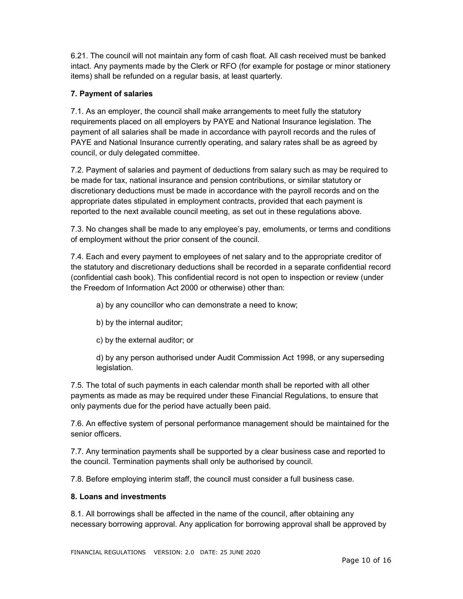6.21. The council will not maintain any form of cash float. All cash received must be banked intact. Any payments made by the Clerk or RFO (for example for postage or minor stationery items) shall be refunded on a regular basis, at least quarterly.

# 7. Payment of salaries

7.1. As an employer, the council shall make arrangements to meet fully the statutory requirements placed on all employers by PAYE and National Insurance legislation. The payment of all salaries shall be made in accordance with payroll records and the rules of PAYE and National Insurance currently operating, and salary rates shall be as agreed by council, or duly delegated committee.

7.2. Payment of salaries and payment of deductions from salary such as may be required to be made for tax, national insurance and pension contributions, or similar statutory or discretionary deductions must be made in accordance with the payroll records and on the appropriate dates stipulated in employment contracts, provided that each payment is reported to the next available council meeting, as set out in these regulations above.

7.3. No changes shall be made to any employee's pay, emoluments, or terms and conditions of employment without the prior consent of the council.

7.4. Each and every payment to employees of net salary and to the appropriate creditor of the statutory and discretionary deductions shall be recorded in a separate confidential record (confidential cash book). This confidential record is not open to inspection or review (under the Freedom of Information Act 2000 or otherwise) other than:

a) by any councillor who can demonstrate a need to know;

- b) by the internal auditor;
- c) by the external auditor; or

d) by any person authorised under Audit Commission Act 1998, or any superseding legislation.

7.5. The total of such payments in each calendar month shall be reported with all other payments as made as may be required under these Financial Regulations, to ensure that only payments due for the period have actually been paid.

7.6. An effective system of personal performance management should be maintained for the senior officers.

7.7. Any termination payments shall be supported by a clear business case and reported to the council. Termination payments shall only be authorised by council.

7.8. Before employing interim staff, the council must consider a full business case.

#### 8. Loans and investments

8.1. All borrowings shall be affected in the name of the council, after obtaining any necessary borrowing approval. Any application for borrowing approval shall be approved by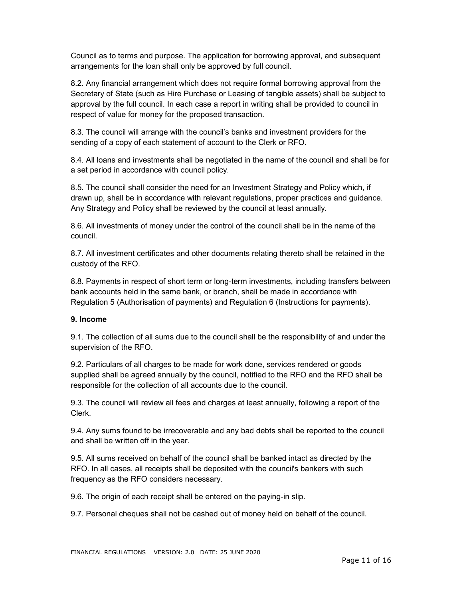Council as to terms and purpose. The application for borrowing approval, and subsequent arrangements for the loan shall only be approved by full council.

8.2. Any financial arrangement which does not require formal borrowing approval from the Secretary of State (such as Hire Purchase or Leasing of tangible assets) shall be subject to approval by the full council. In each case a report in writing shall be provided to council in respect of value for money for the proposed transaction.

8.3. The council will arrange with the council's banks and investment providers for the sending of a copy of each statement of account to the Clerk or RFO.

8.4. All loans and investments shall be negotiated in the name of the council and shall be for a set period in accordance with council policy.

8.5. The council shall consider the need for an Investment Strategy and Policy which, if drawn up, shall be in accordance with relevant regulations, proper practices and guidance. Any Strategy and Policy shall be reviewed by the council at least annually.

8.6. All investments of money under the control of the council shall be in the name of the council.

8.7. All investment certificates and other documents relating thereto shall be retained in the custody of the RFO.

8.8. Payments in respect of short term or long-term investments, including transfers between bank accounts held in the same bank, or branch, shall be made in accordance with Regulation 5 (Authorisation of payments) and Regulation 6 (Instructions for payments).

#### 9. Income

9.1. The collection of all sums due to the council shall be the responsibility of and under the supervision of the RFO.

9.2. Particulars of all charges to be made for work done, services rendered or goods supplied shall be agreed annually by the council, notified to the RFO and the RFO shall be responsible for the collection of all accounts due to the council.

9.3. The council will review all fees and charges at least annually, following a report of the Clerk.

9.4. Any sums found to be irrecoverable and any bad debts shall be reported to the council and shall be written off in the year.

9.5. All sums received on behalf of the council shall be banked intact as directed by the RFO. In all cases, all receipts shall be deposited with the council's bankers with such frequency as the RFO considers necessary.

9.6. The origin of each receipt shall be entered on the paying-in slip.

9.7. Personal cheques shall not be cashed out of money held on behalf of the council.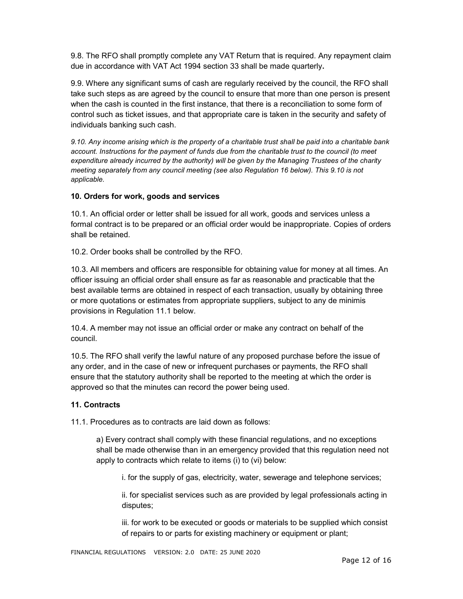9.8. The RFO shall promptly complete any VAT Return that is required. Any repayment claim due in accordance with VAT Act 1994 section 33 shall be made quarterly.

9.9. Where any significant sums of cash are regularly received by the council, the RFO shall take such steps as are agreed by the council to ensure that more than one person is present when the cash is counted in the first instance, that there is a reconciliation to some form of control such as ticket issues, and that appropriate care is taken in the security and safety of individuals banking such cash.

9.10. Any income arising which is the property of a charitable trust shall be paid into a charitable bank account. Instructions for the payment of funds due from the charitable trust to the council (to meet expenditure already incurred by the authority) will be given by the Managing Trustees of the charity meeting separately from any council meeting (see also Regulation 16 below). This 9.10 is not applicable.

#### 10. Orders for work, goods and services

10.1. An official order or letter shall be issued for all work, goods and services unless a formal contract is to be prepared or an official order would be inappropriate. Copies of orders shall be retained.

10.2. Order books shall be controlled by the RFO.

10.3. All members and officers are responsible for obtaining value for money at all times. An officer issuing an official order shall ensure as far as reasonable and practicable that the best available terms are obtained in respect of each transaction, usually by obtaining three or more quotations or estimates from appropriate suppliers, subject to any de minimis provisions in Regulation 11.1 below.

10.4. A member may not issue an official order or make any contract on behalf of the council.

10.5. The RFO shall verify the lawful nature of any proposed purchase before the issue of any order, and in the case of new or infrequent purchases or payments, the RFO shall ensure that the statutory authority shall be reported to the meeting at which the order is approved so that the minutes can record the power being used.

#### 11. Contracts

11.1. Procedures as to contracts are laid down as follows:

a) Every contract shall comply with these financial regulations, and no exceptions shall be made otherwise than in an emergency provided that this regulation need not apply to contracts which relate to items (i) to (vi) below:

i. for the supply of gas, electricity, water, sewerage and telephone services;

ii. for specialist services such as are provided by legal professionals acting in disputes;

iii. for work to be executed or goods or materials to be supplied which consist of repairs to or parts for existing machinery or equipment or plant;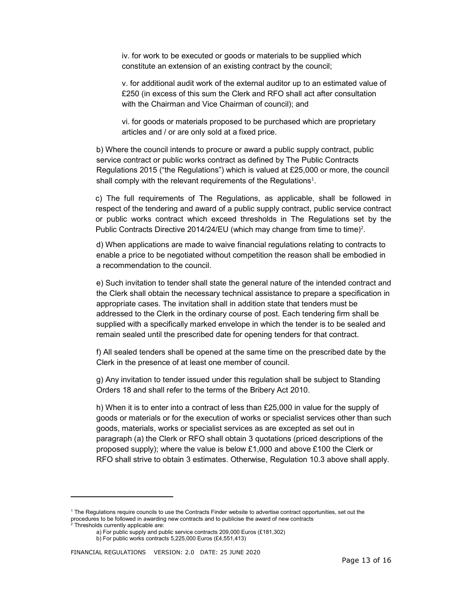iv. for work to be executed or goods or materials to be supplied which constitute an extension of an existing contract by the council;

v. for additional audit work of the external auditor up to an estimated value of £250 (in excess of this sum the Clerk and RFO shall act after consultation with the Chairman and Vice Chairman of council); and

vi. for goods or materials proposed to be purchased which are proprietary articles and / or are only sold at a fixed price.

b) Where the council intends to procure or award a public supply contract, public service contract or public works contract as defined by The Public Contracts Regulations 2015 ("the Regulations") which is valued at £25,000 or more, the council shall comply with the relevant requirements of the Regulations<sup>1</sup>.

 c) The full requirements of The Regulations, as applicable, shall be followed in respect of the tendering and award of a public supply contract, public service contract or public works contract which exceed thresholds in The Regulations set by the Public Contracts Directive 2014/24/EU (which may change from time to time)<sup>2</sup>.

d) When applications are made to waive financial regulations relating to contracts to enable a price to be negotiated without competition the reason shall be embodied in a recommendation to the council.

e) Such invitation to tender shall state the general nature of the intended contract and the Clerk shall obtain the necessary technical assistance to prepare a specification in appropriate cases. The invitation shall in addition state that tenders must be addressed to the Clerk in the ordinary course of post. Each tendering firm shall be supplied with a specifically marked envelope in which the tender is to be sealed and remain sealed until the prescribed date for opening tenders for that contract.

f) All sealed tenders shall be opened at the same time on the prescribed date by the Clerk in the presence of at least one member of council.

g) Any invitation to tender issued under this regulation shall be subject to Standing Orders 18 and shall refer to the terms of the Bribery Act 2010.

h) When it is to enter into a contract of less than £25,000 in value for the supply of goods or materials or for the execution of works or specialist services other than such goods, materials, works or specialist services as are excepted as set out in paragraph (a) the Clerk or RFO shall obtain 3 quotations (priced descriptions of the proposed supply); where the value is below £1,000 and above £100 the Clerk or RFO shall strive to obtain 3 estimates. Otherwise, Regulation 10.3 above shall apply.

-

<sup>1</sup> The Regulations require councils to use the Contracts Finder website to advertise contract opportunities, set out the procedures to be followed in awarding new contracts and to publicise the award of new contracts

<sup>2</sup> Thresholds currently applicable are:

a) For public supply and public service contracts 209,000 Euros (£181,302)

b) For public works contracts 5,225,000 Euros (£4,551,413)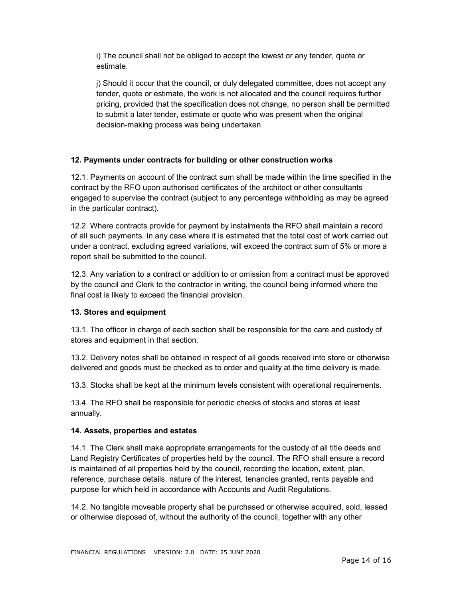i) The council shall not be obliged to accept the lowest or any tender, quote or estimate.

j) Should it occur that the council, or duly delegated committee, does not accept any tender, quote or estimate, the work is not allocated and the council requires further pricing, provided that the specification does not change, no person shall be permitted to submit a later tender, estimate or quote who was present when the original decision-making process was being undertaken.

## 12. Payments under contracts for building or other construction works

12.1. Payments on account of the contract sum shall be made within the time specified in the contract by the RFO upon authorised certificates of the architect or other consultants engaged to supervise the contract (subject to any percentage withholding as may be agreed in the particular contract).

12.2. Where contracts provide for payment by instalments the RFO shall maintain a record of all such payments. In any case where it is estimated that the total cost of work carried out under a contract, excluding agreed variations, will exceed the contract sum of 5% or more a report shall be submitted to the council.

12.3. Any variation to a contract or addition to or omission from a contract must be approved by the council and Clerk to the contractor in writing, the council being informed where the final cost is likely to exceed the financial provision.

#### 13. Stores and equipment

13.1. The officer in charge of each section shall be responsible for the care and custody of stores and equipment in that section.

13.2. Delivery notes shall be obtained in respect of all goods received into store or otherwise delivered and goods must be checked as to order and quality at the time delivery is made.

13.3. Stocks shall be kept at the minimum levels consistent with operational requirements.

13.4. The RFO shall be responsible for periodic checks of stocks and stores at least annually.

#### 14. Assets, properties and estates

14.1. The Clerk shall make appropriate arrangements for the custody of all title deeds and Land Registry Certificates of properties held by the council. The RFO shall ensure a record is maintained of all properties held by the council, recording the location, extent, plan, reference, purchase details, nature of the interest, tenancies granted, rents payable and purpose for which held in accordance with Accounts and Audit Regulations.

14.2. No tangible moveable property shall be purchased or otherwise acquired, sold, leased or otherwise disposed of, without the authority of the council, together with any other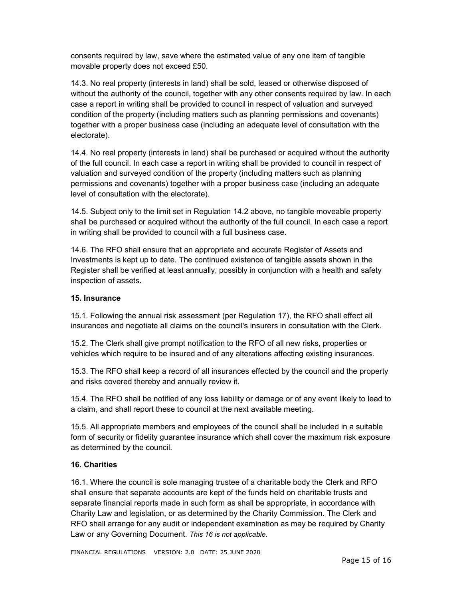consents required by law, save where the estimated value of any one item of tangible movable property does not exceed £50.

14.3. No real property (interests in land) shall be sold, leased or otherwise disposed of without the authority of the council, together with any other consents required by law. In each case a report in writing shall be provided to council in respect of valuation and surveyed condition of the property (including matters such as planning permissions and covenants) together with a proper business case (including an adequate level of consultation with the electorate).

14.4. No real property (interests in land) shall be purchased or acquired without the authority of the full council. In each case a report in writing shall be provided to council in respect of valuation and surveyed condition of the property (including matters such as planning permissions and covenants) together with a proper business case (including an adequate level of consultation with the electorate).

14.5. Subject only to the limit set in Regulation 14.2 above, no tangible moveable property shall be purchased or acquired without the authority of the full council. In each case a report in writing shall be provided to council with a full business case.

14.6. The RFO shall ensure that an appropriate and accurate Register of Assets and Investments is kept up to date. The continued existence of tangible assets shown in the Register shall be verified at least annually, possibly in conjunction with a health and safety inspection of assets.

#### 15. Insurance

15.1. Following the annual risk assessment (per Regulation 17), the RFO shall effect all insurances and negotiate all claims on the council's insurers in consultation with the Clerk.

15.2. The Clerk shall give prompt notification to the RFO of all new risks, properties or vehicles which require to be insured and of any alterations affecting existing insurances.

15.3. The RFO shall keep a record of all insurances effected by the council and the property and risks covered thereby and annually review it.

15.4. The RFO shall be notified of any loss liability or damage or of any event likely to lead to a claim, and shall report these to council at the next available meeting.

15.5. All appropriate members and employees of the council shall be included in a suitable form of security or fidelity guarantee insurance which shall cover the maximum risk exposure as determined by the council.

#### 16. Charities

16.1. Where the council is sole managing trustee of a charitable body the Clerk and RFO shall ensure that separate accounts are kept of the funds held on charitable trusts and separate financial reports made in such form as shall be appropriate, in accordance with Charity Law and legislation, or as determined by the Charity Commission. The Clerk and RFO shall arrange for any audit or independent examination as may be required by Charity Law or any Governing Document. This 16 is not applicable.